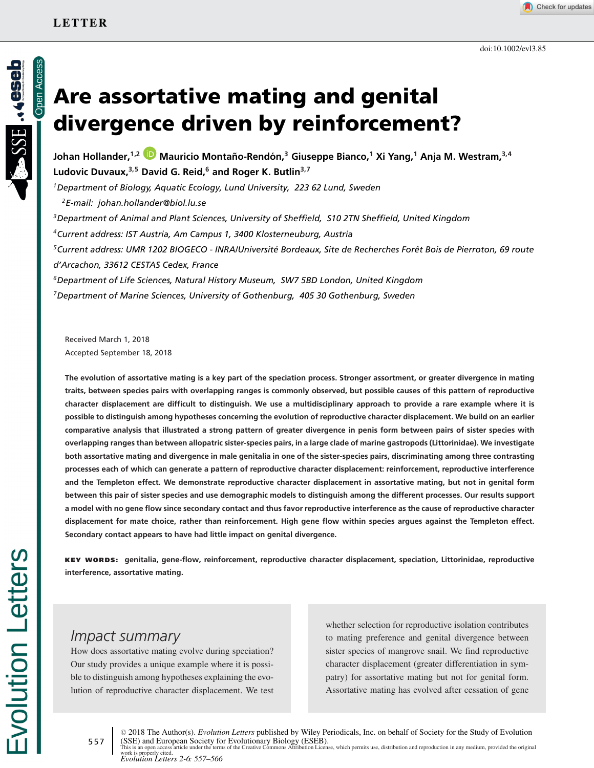

# **Are assortative mating and genital divergence driven by reinforcement?**

**Johan Hollander,1,2 Mauricio Montano-Rend ˜ on, ´ <sup>3</sup> Giuseppe Bianco,<sup>1</sup> Xi Yang,<sup>1</sup> Anja M. Westram,3,4 Ludovic Duvaux,3,5 David G. Reid,<sup>6</sup> and Roger K. Butlin3,7**

*1Department of Biology, Aquatic Ecology, Lund University, 223 62 Lund, Sweden*

*2E-mail: johan.hollander@biol.lu.se*

*3Department of Animal and Plant Sciences, University of Sheffield, S10 2TN Sheffield, United Kingdom*

*4Current address: IST Austria, Am Campus 1, 3400 Klosterneuburg, Austria*

*5Current address: UMR 1202 BIOGECO - INRA/Universite Bordeaux, Site de Recherches For ´ et Bois de Pierroton, 69 route ˆ d'Arcachon, 33612 CESTAS Cedex, France*

*6Department of Life Sciences, Natural History Museum, SW7 5BD London, United Kingdom 7Department of Marine Sciences, University of Gothenburg, 405 30 Gothenburg, Sweden*

Received March 1, 2018 Accepted September 18, 2018

**The evolution of assortative mating is a key part of the speciation process. Stronger assortment, or greater divergence in mating traits, between species pairs with overlapping ranges is commonly observed, but possible causes of this pattern of reproductive character displacement are difficult to distinguish. We use a multidisciplinary approach to provide a rare example where it is possible to distinguish among hypotheses concerning the evolution of reproductive character displacement. We build on an earlier comparative analysis that illustrated a strong pattern of greater divergence in penis form between pairs of sister species with overlapping ranges than between allopatric sister-species pairs, in a large clade of marine gastropods (Littorinidae). We investigate both assortative mating and divergence in male genitalia in one of the sister-species pairs, discriminating among three contrasting processes each of which can generate a pattern of reproductive character displacement: reinforcement, reproductive interference and the Templeton effect. We demonstrate reproductive character displacement in assortative mating, but not in genital form between this pair of sister species and use demographic models to distinguish among the different processes. Our results support a model with no gene flow since secondary contact and thus favor reproductive interference as the cause of reproductive character displacement for mate choice, rather than reinforcement. High gene flow within species argues against the Templeton effect. Secondary contact appears to have had little impact on genital divergence.**

**KEY WORDS: genitalia, gene-flow, reinforcement, reproductive character displacement, speciation, Littorinidae, reproductive interference, assortative mating.**

## *Impact summary*

How does assortative mating evolve during speciation? Our study provides a unique example where it is possible to distinguish among hypotheses explaining the evolution of reproductive character displacement. We test

whether selection for reproductive isolation contributes to mating preference and genital divergence between sister species of mangrove snail. We find reproductive character displacement (greater differentiation in sympatry) for assortative mating but not for genital form. Assortative mating has evolved after cessation of gene

557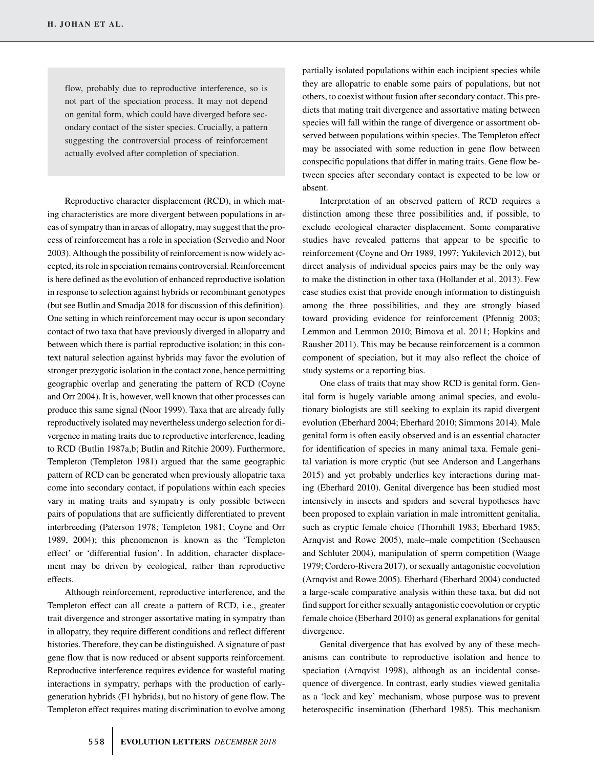flow, probably due to reproductive interference, so is not part of the speciation process. It may not depend on genital form, which could have diverged before secondary contact of the sister species. Crucially, a pattern suggesting the controversial process of reinforcement actually evolved after completion of speciation.

Reproductive character displacement (RCD), in which mating characteristics are more divergent between populations in areas of sympatry than in areas of allopatry, may suggest that the process of reinforcement has a role in speciation (Servedio and Noor 2003). Although the possibility of reinforcement is now widely accepted, its role in speciation remains controversial. Reinforcement is here defined as the evolution of enhanced reproductive isolation in response to selection against hybrids or recombinant genotypes (but see Butlin and Smadja 2018 for discussion of this definition). One setting in which reinforcement may occur is upon secondary contact of two taxa that have previously diverged in allopatry and between which there is partial reproductive isolation; in this context natural selection against hybrids may favor the evolution of stronger prezygotic isolation in the contact zone, hence permitting geographic overlap and generating the pattern of RCD (Coyne and Orr 2004). It is, however, well known that other processes can produce this same signal (Noor 1999). Taxa that are already fully reproductively isolated may nevertheless undergo selection for divergence in mating traits due to reproductive interference, leading to RCD (Butlin 1987a,b; Butlin and Ritchie 2009). Furthermore, Templeton (Templeton 1981) argued that the same geographic pattern of RCD can be generated when previously allopatric taxa come into secondary contact, if populations within each species vary in mating traits and sympatry is only possible between pairs of populations that are sufficiently differentiated to prevent interbreeding (Paterson 1978; Templeton 1981; Coyne and Orr 1989, 2004); this phenomenon is known as the 'Templeton effect' or 'differential fusion'. In addition, character displacement may be driven by ecological, rather than reproductive effects.

Although reinforcement, reproductive interference, and the Templeton effect can all create a pattern of RCD, i.e., greater trait divergence and stronger assortative mating in sympatry than in allopatry, they require different conditions and reflect different histories. Therefore, they can be distinguished. A signature of past gene flow that is now reduced or absent supports reinforcement. Reproductive interference requires evidence for wasteful mating interactions in sympatry, perhaps with the production of earlygeneration hybrids (F1 hybrids), but no history of gene flow. The Templeton effect requires mating discrimination to evolve among

partially isolated populations within each incipient species while they are allopatric to enable some pairs of populations, but not others, to coexist without fusion after secondary contact. This predicts that mating trait divergence and assortative mating between species will fall within the range of divergence or assortment observed between populations within species. The Templeton effect may be associated with some reduction in gene flow between conspecific populations that differ in mating traits. Gene flow between species after secondary contact is expected to be low or absent.

Interpretation of an observed pattern of RCD requires a distinction among these three possibilities and, if possible, to exclude ecological character displacement. Some comparative studies have revealed patterns that appear to be specific to reinforcement (Coyne and Orr 1989, 1997; Yukilevich 2012), but direct analysis of individual species pairs may be the only way to make the distinction in other taxa (Hollander et al. 2013). Few case studies exist that provide enough information to distinguish among the three possibilities, and they are strongly biased toward providing evidence for reinforcement (Pfennig 2003; Lemmon and Lemmon 2010; Bimova et al. 2011; Hopkins and Rausher 2011). This may be because reinforcement is a common component of speciation, but it may also reflect the choice of study systems or a reporting bias.

One class of traits that may show RCD is genital form. Genital form is hugely variable among animal species, and evolutionary biologists are still seeking to explain its rapid divergent evolution (Eberhard 2004; Eberhard 2010; Simmons 2014). Male genital form is often easily observed and is an essential character for identification of species in many animal taxa. Female genital variation is more cryptic (but see Anderson and Langerhans 2015) and yet probably underlies key interactions during mating (Eberhard 2010). Genital divergence has been studied most intensively in insects and spiders and several hypotheses have been proposed to explain variation in male intromittent genitalia, such as cryptic female choice (Thornhill 1983; Eberhard 1985; Arnqvist and Rowe 2005), male–male competition (Seehausen and Schluter 2004), manipulation of sperm competition (Waage 1979; Cordero-Rivera 2017), or sexually antagonistic coevolution (Arnqvist and Rowe 2005). Eberhard (Eberhard 2004) conducted a large-scale comparative analysis within these taxa, but did not find support for either sexually antagonistic coevolution or cryptic female choice (Eberhard 2010) as general explanations for genital divergence.

Genital divergence that has evolved by any of these mechanisms can contribute to reproductive isolation and hence to speciation (Arnqvist 1998), although as an incidental consequence of divergence. In contrast, early studies viewed genitalia as a 'lock and key' mechanism, whose purpose was to prevent heterospecific insemination (Eberhard 1985). This mechanism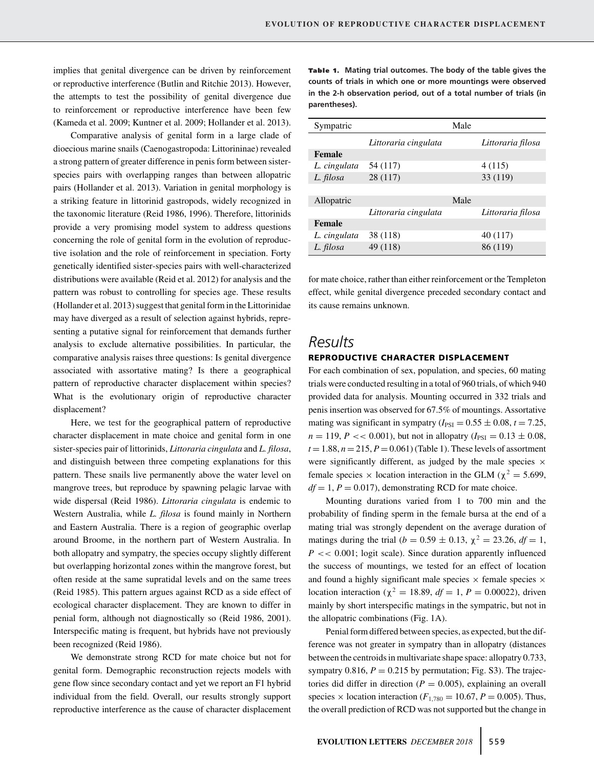implies that genital divergence can be driven by reinforcement or reproductive interference (Butlin and Ritchie 2013). However, the attempts to test the possibility of genital divergence due to reinforcement or reproductive interference have been few (Kameda et al. 2009; Kuntner et al. 2009; Hollander et al. 2013).

Comparative analysis of genital form in a large clade of dioecious marine snails (Caenogastropoda: Littorininae) revealed a strong pattern of greater difference in penis form between sisterspecies pairs with overlapping ranges than between allopatric pairs (Hollander et al. 2013). Variation in genital morphology is a striking feature in littorinid gastropods, widely recognized in the taxonomic literature (Reid 1986, 1996). Therefore, littorinids provide a very promising model system to address questions concerning the role of genital form in the evolution of reproductive isolation and the role of reinforcement in speciation. Forty genetically identified sister-species pairs with well-characterized distributions were available (Reid et al. 2012) for analysis and the pattern was robust to controlling for species age. These results (Hollander et al. 2013) suggest that genital form in the Littorinidae may have diverged as a result of selection against hybrids, representing a putative signal for reinforcement that demands further analysis to exclude alternative possibilities. In particular, the comparative analysis raises three questions: Is genital divergence associated with assortative mating? Is there a geographical pattern of reproductive character displacement within species? What is the evolutionary origin of reproductive character displacement?

Here, we test for the geographical pattern of reproductive character displacement in mate choice and genital form in one sister-species pair of littorinids, *Littoraria cingulata* and *L. filosa*, and distinguish between three competing explanations for this pattern. These snails live permanently above the water level on mangrove trees, but reproduce by spawning pelagic larvae with wide dispersal (Reid 1986). *Littoraria cingulata* is endemic to Western Australia, while *L. filosa* is found mainly in Northern and Eastern Australia. There is a region of geographic overlap around Broome, in the northern part of Western Australia. In both allopatry and sympatry, the species occupy slightly different but overlapping horizontal zones within the mangrove forest, but often reside at the same supratidal levels and on the same trees (Reid 1985). This pattern argues against RCD as a side effect of ecological character displacement. They are known to differ in penial form, although not diagnostically so (Reid 1986, 2001). Interspecific mating is frequent, but hybrids have not previously been recognized (Reid 1986).

We demonstrate strong RCD for mate choice but not for genital form. Demographic reconstruction rejects models with gene flow since secondary contact and yet we report an F1 hybrid individual from the field. Overall, our results strongly support reproductive interference as the cause of character displacement Table 1. Mating trial outcomes. The body of the table gives the **counts of trials in which one or more mountings were observed in the 2-h observation period, out of a total number of trials (in parentheses).**

| Sympatric    |                      | Male |                   |
|--------------|----------------------|------|-------------------|
|              | Littoraria cingulata |      | Littoraria filosa |
| Female       |                      |      |                   |
| L. cingulata | 54 (117)             |      | 4(115)            |
| L. filosa    | 28 (117)             |      | 33 (119)          |
|              |                      |      |                   |
| Allopatric   |                      | Male |                   |
|              | Littoraria cingulata |      | Littoraria filosa |
| Female       |                      |      |                   |
| L. cingulata | 38 (118)             |      | 40 (117)          |
| L. filosa    | 49 (118)             |      | 86 (119)          |

for mate choice, rather than either reinforcement or the Templeton effect, while genital divergence preceded secondary contact and its cause remains unknown.

## *Results*

#### **REPRODUCTIVE CHARACTER DISPLACEMENT**

For each combination of sex, population, and species, 60 mating trials were conducted resulting in a total of 960 trials, of which 940 provided data for analysis. Mounting occurred in 332 trials and penis insertion was observed for 67.5% of mountings. Assortative mating was significant in sympatry  $(I_{PSI} = 0.55 \pm 0.08, t = 7.25,$  $n = 119$ ,  $P \ll 0.001$ ), but not in allopatry ( $I_{PSI} = 0.13 \pm 0.08$ ,  $t = 1.88$ ,  $n = 215$ ,  $P = 0.061$ ) (Table 1). These levels of assortment were significantly different, as judged by the male species  $\times$ female species  $\times$  location interaction in the GLM ( $\chi^2 = 5.699$ ,  $df = 1, P = 0.017$ , demonstrating RCD for mate choice.

Mounting durations varied from 1 to 700 min and the probability of finding sperm in the female bursa at the end of a mating trial was strongly dependent on the average duration of matings during the trial ( $b = 0.59 \pm 0.13$ ,  $\chi^2 = 23.26$ ,  $df = 1$ , *P <<* 0.001; logit scale). Since duration apparently influenced the success of mountings, we tested for an effect of location and found a highly significant male species  $\times$  female species  $\times$ location interaction ( $\chi^2 = 18.89$ , *df* = 1, *P* = 0.00022), driven mainly by short interspecific matings in the sympatric, but not in the allopatric combinations (Fig. 1A).

Penial form differed between species, as expected, but the difference was not greater in sympatry than in allopatry (distances between the centroids in multivariate shape space: allopatry 0.733, sympatry 0.816,  $P = 0.215$  by permutation; Fig. S3). The trajectories did differ in direction  $(P = 0.005)$ , explaining an overall species  $\times$  location interaction ( $F_{1,780} = 10.67$ ,  $P = 0.005$ ). Thus, the overall prediction of RCD was not supported but the change in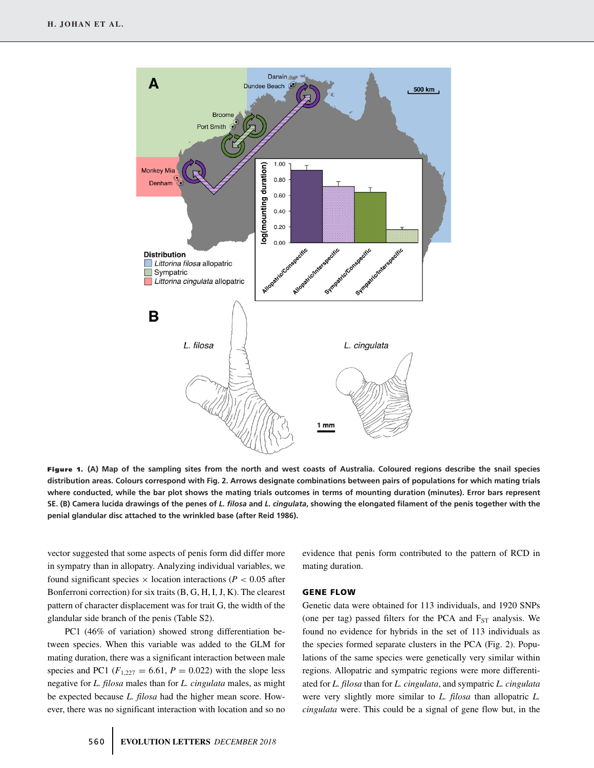

**Figure 1. (A) Map of the sampling sites from the north and west coasts of Australia. Coloured regions describe the snail species distribution areas. Colours correspond with Fig. 2. Arrows designate combinations between pairs of populations for which mating trials where conducted, while the bar plot shows the mating trials outcomes in terms of mounting duration (minutes). Error bars represent SE. (B) Camera lucida drawings of the penes of** *L. filosa* **and** *L. cingulata***, showing the elongated filament of the penis together with the penial glandular disc attached to the wrinkled base (after Reid 1986).**

vector suggested that some aspects of penis form did differ more in sympatry than in allopatry. Analyzing individual variables, we found significant species  $\times$  location interactions ( $P < 0.05$  after Bonferroni correction) for six traits (B, G, H, I, J, K). The clearest pattern of character displacement was for trait G, the width of the glandular side branch of the penis (Table S2).

PC1 (46% of variation) showed strong differentiation between species. When this variable was added to the GLM for mating duration, there was a significant interaction between male species and PC1 ( $F_{1,227} = 6.61, P = 0.022$ ) with the slope less negative for *L. filosa* males than for *L. cingulata* males, as might be expected because *L. filosa* had the higher mean score. However, there was no significant interaction with location and so no

evidence that penis form contributed to the pattern of RCD in mating duration.

#### **GENE FLOW**

Genetic data were obtained for 113 individuals, and 1920 SNPs (one per tag) passed filters for the PCA and  $F<sub>ST</sub>$  analysis. We found no evidence for hybrids in the set of 113 individuals as the species formed separate clusters in the PCA (Fig. 2). Populations of the same species were genetically very similar within regions. Allopatric and sympatric regions were more differentiated for *L. filosa* than for *L. cingulata*, and sympatric *L. cingulata* were very slightly more similar to *L. filosa* than allopatric *L. cingulata* were. This could be a signal of gene flow but, in the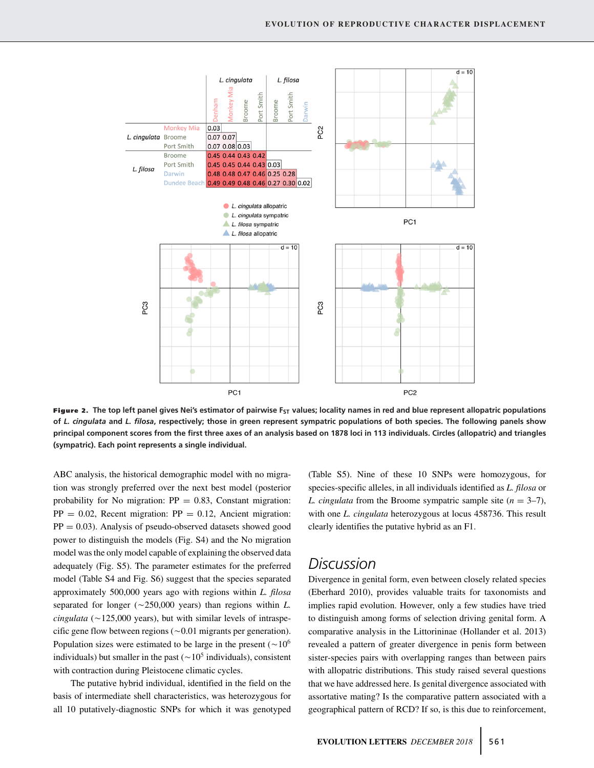

Figure 2. The top left panel gives Nei's estimator of pairwise F<sub>ST</sub> values; locality names in red and blue represent allopatric populations **of** *L. cingulata* **and** *L. filosa***, respectively; those in green represent sympatric populations of both species. The following panels show principal component scores from the first three axes of an analysis based on 1878 loci in 113 individuals. Circles (allopatric) and triangles (sympatric). Each point represents a single individual.**

ABC analysis, the historical demographic model with no migration was strongly preferred over the next best model (posterior probability for No migration:  $PP = 0.83$ , Constant migration:  $PP = 0.02$ , Recent migration:  $PP = 0.12$ , Ancient migration:  $PP = 0.03$ ). Analysis of pseudo-observed datasets showed good power to distinguish the models (Fig. S4) and the No migration model was the only model capable of explaining the observed data adequately (Fig. S5). The parameter estimates for the preferred model (Table S4 and Fig. S6) suggest that the species separated approximately 500,000 years ago with regions within *L. filosa* separated for longer  $(\sim 250,000$  years) than regions within *L*.  $cingulata$  ( $\sim$ 125,000 years), but with similar levels of intraspecific gene flow between regions  $(\sim 0.01$  migrants per generation). Population sizes were estimated to be large in the present  $($   $\sim$   $10<sup>6</sup>$ individuals) but smaller in the past ( $\sim$ 10<sup>5</sup> individuals), consistent with contraction during Pleistocene climatic cycles.

The putative hybrid individual, identified in the field on the basis of intermediate shell characteristics, was heterozygous for all 10 putatively-diagnostic SNPs for which it was genotyped

(Table S5). Nine of these 10 SNPs were homozygous, for species-specific alleles, in all individuals identified as *L. filosa* or *L. cingulata* from the Broome sympatric sample site  $(n = 3-7)$ , with one *L. cingulata* heterozygous at locus 458736. This result clearly identifies the putative hybrid as an F1.

# *Discussion*

Divergence in genital form, even between closely related species (Eberhard 2010), provides valuable traits for taxonomists and implies rapid evolution. However, only a few studies have tried to distinguish among forms of selection driving genital form. A comparative analysis in the Littorininae (Hollander et al. 2013) revealed a pattern of greater divergence in penis form between sister-species pairs with overlapping ranges than between pairs with allopatric distributions. This study raised several questions that we have addressed here. Is genital divergence associated with assortative mating? Is the comparative pattern associated with a geographical pattern of RCD? If so, is this due to reinforcement,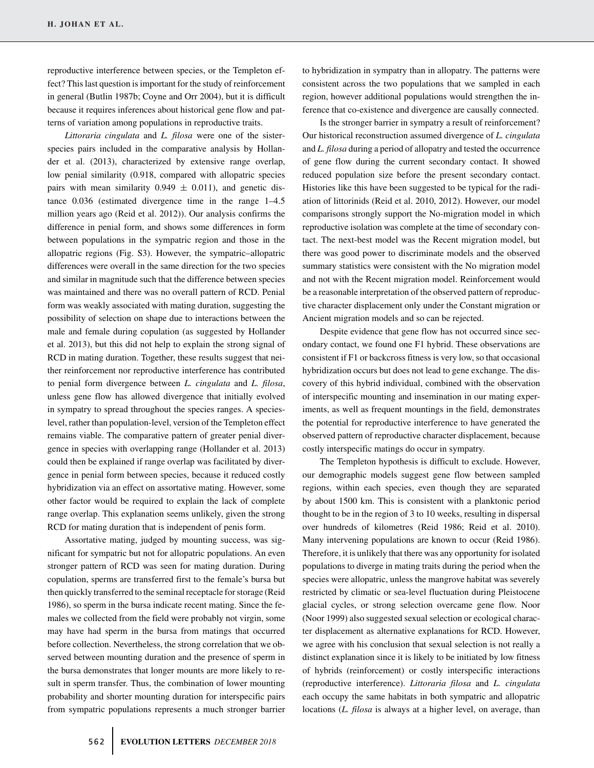reproductive interference between species, or the Templeton effect? This last question is important for the study of reinforcement in general (Butlin 1987b; Coyne and Orr 2004), but it is difficult because it requires inferences about historical gene flow and patterns of variation among populations in reproductive traits.

*Littoraria cingulata* and *L. filosa* were one of the sisterspecies pairs included in the comparative analysis by Hollander et al. (2013), characterized by extensive range overlap, low penial similarity (0.918, compared with allopatric species pairs with mean similarity  $0.949 \pm 0.011$ ), and genetic distance 0.036 (estimated divergence time in the range 1–4.5 million years ago (Reid et al. 2012)). Our analysis confirms the difference in penial form, and shows some differences in form between populations in the sympatric region and those in the allopatric regions (Fig. S3). However, the sympatric–allopatric differences were overall in the same direction for the two species and similar in magnitude such that the difference between species was maintained and there was no overall pattern of RCD. Penial form was weakly associated with mating duration, suggesting the possibility of selection on shape due to interactions between the male and female during copulation (as suggested by Hollander et al. 2013), but this did not help to explain the strong signal of RCD in mating duration. Together, these results suggest that neither reinforcement nor reproductive interference has contributed to penial form divergence between *L. cingulata* and *L. filosa*, unless gene flow has allowed divergence that initially evolved in sympatry to spread throughout the species ranges. A specieslevel, rather than population-level, version of the Templeton effect remains viable. The comparative pattern of greater penial divergence in species with overlapping range (Hollander et al. 2013) could then be explained if range overlap was facilitated by divergence in penial form between species, because it reduced costly hybridization via an effect on assortative mating. However, some other factor would be required to explain the lack of complete range overlap. This explanation seems unlikely, given the strong RCD for mating duration that is independent of penis form.

Assortative mating, judged by mounting success, was significant for sympatric but not for allopatric populations. An even stronger pattern of RCD was seen for mating duration. During copulation, sperms are transferred first to the female's bursa but then quickly transferred to the seminal receptacle for storage (Reid 1986), so sperm in the bursa indicate recent mating. Since the females we collected from the field were probably not virgin, some may have had sperm in the bursa from matings that occurred before collection. Nevertheless, the strong correlation that we observed between mounting duration and the presence of sperm in the bursa demonstrates that longer mounts are more likely to result in sperm transfer. Thus, the combination of lower mounting probability and shorter mounting duration for interspecific pairs from sympatric populations represents a much stronger barrier

to hybridization in sympatry than in allopatry. The patterns were consistent across the two populations that we sampled in each region, however additional populations would strengthen the inference that co-existence and divergence are causally connected.

Is the stronger barrier in sympatry a result of reinforcement? Our historical reconstruction assumed divergence of *L. cingulata* and *L. filosa* during a period of allopatry and tested the occurrence of gene flow during the current secondary contact. It showed reduced population size before the present secondary contact. Histories like this have been suggested to be typical for the radiation of littorinids (Reid et al. 2010, 2012). However, our model comparisons strongly support the No-migration model in which reproductive isolation was complete at the time of secondary contact. The next-best model was the Recent migration model, but there was good power to discriminate models and the observed summary statistics were consistent with the No migration model and not with the Recent migration model. Reinforcement would be a reasonable interpretation of the observed pattern of reproductive character displacement only under the Constant migration or Ancient migration models and so can be rejected.

Despite evidence that gene flow has not occurred since secondary contact, we found one F1 hybrid. These observations are consistent if F1 or backcross fitness is very low, so that occasional hybridization occurs but does not lead to gene exchange. The discovery of this hybrid individual, combined with the observation of interspecific mounting and insemination in our mating experiments, as well as frequent mountings in the field, demonstrates the potential for reproductive interference to have generated the observed pattern of reproductive character displacement, because costly interspecific matings do occur in sympatry.

The Templeton hypothesis is difficult to exclude. However, our demographic models suggest gene flow between sampled regions, within each species, even though they are separated by about 1500 km. This is consistent with a planktonic period thought to be in the region of 3 to 10 weeks, resulting in dispersal over hundreds of kilometres (Reid 1986; Reid et al. 2010). Many intervening populations are known to occur (Reid 1986). Therefore, it is unlikely that there was any opportunity for isolated populations to diverge in mating traits during the period when the species were allopatric, unless the mangrove habitat was severely restricted by climatic or sea-level fluctuation during Pleistocene glacial cycles, or strong selection overcame gene flow. Noor (Noor 1999) also suggested sexual selection or ecological character displacement as alternative explanations for RCD. However, we agree with his conclusion that sexual selection is not really a distinct explanation since it is likely to be initiated by low fitness of hybrids (reinforcement) or costly interspecific interactions (reproductive interference). *Littoraria filosa* and *L. cingulata* each occupy the same habitats in both sympatric and allopatric locations (*L. filosa* is always at a higher level, on average, than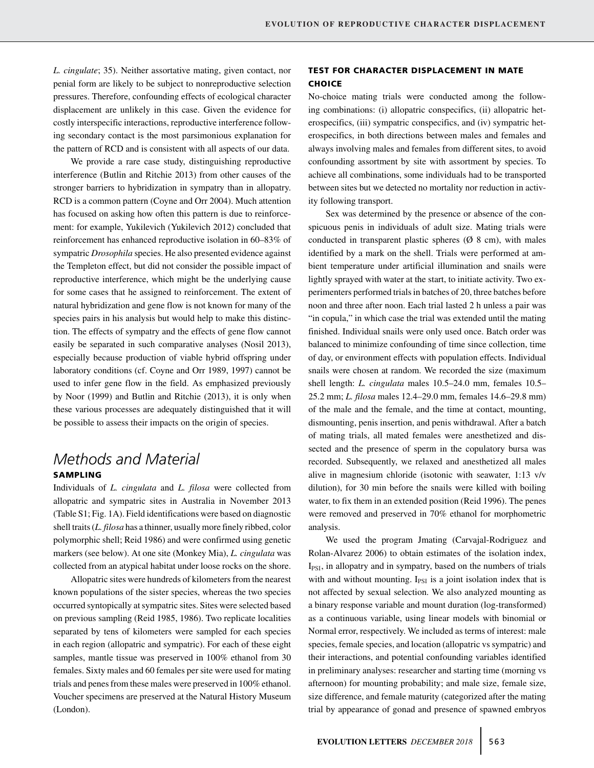*L. cingulate*; 35). Neither assortative mating, given contact, nor penial form are likely to be subject to nonreproductive selection pressures. Therefore, confounding effects of ecological character displacement are unlikely in this case. Given the evidence for costly interspecific interactions, reproductive interference following secondary contact is the most parsimonious explanation for the pattern of RCD and is consistent with all aspects of our data.

We provide a rare case study, distinguishing reproductive interference (Butlin and Ritchie 2013) from other causes of the stronger barriers to hybridization in sympatry than in allopatry. RCD is a common pattern (Coyne and Orr 2004). Much attention has focused on asking how often this pattern is due to reinforcement: for example, Yukilevich (Yukilevich 2012) concluded that reinforcement has enhanced reproductive isolation in 60–83% of sympatric *Drosophila* species. He also presented evidence against the Templeton effect, but did not consider the possible impact of reproductive interference, which might be the underlying cause for some cases that he assigned to reinforcement. The extent of natural hybridization and gene flow is not known for many of the species pairs in his analysis but would help to make this distinction. The effects of sympatry and the effects of gene flow cannot easily be separated in such comparative analyses (Nosil 2013), especially because production of viable hybrid offspring under laboratory conditions (cf. Coyne and Orr 1989, 1997) cannot be used to infer gene flow in the field. As emphasized previously by Noor (1999) and Butlin and Ritchie (2013), it is only when these various processes are adequately distinguished that it will be possible to assess their impacts on the origin of species.

## *Methods and Material* **SAMPLING**

Individuals of *L. cingulata* and *L. filosa* were collected from allopatric and sympatric sites in Australia in November 2013 (Table S1; Fig. 1A). Field identifications were based on diagnostic shell traits (*L. filosa* has a thinner, usually more finely ribbed, color polymorphic shell; Reid 1986) and were confirmed using genetic markers (see below). At one site (Monkey Mia), *L. cingulata* was collected from an atypical habitat under loose rocks on the shore.

Allopatric sites were hundreds of kilometers from the nearest known populations of the sister species, whereas the two species occurred syntopically at sympatric sites. Sites were selected based on previous sampling (Reid 1985, 1986). Two replicate localities separated by tens of kilometers were sampled for each species in each region (allopatric and sympatric). For each of these eight samples, mantle tissue was preserved in  $100\%$  ethanol from 30 females. Sixty males and 60 females per site were used for mating trials and penes from these males were preserved in 100% ethanol. Voucher specimens are preserved at the Natural History Museum (London).

### **TEST FOR CHARACTER DISPLACEMENT IN MATE CHOICE**

No-choice mating trials were conducted among the following combinations: (i) allopatric conspecifics, (ii) allopatric heterospecifics, (iii) sympatric conspecifics, and (iv) sympatric heterospecifics, in both directions between males and females and always involving males and females from different sites, to avoid confounding assortment by site with assortment by species. To achieve all combinations, some individuals had to be transported between sites but we detected no mortality nor reduction in activity following transport.

Sex was determined by the presence or absence of the conspicuous penis in individuals of adult size. Mating trials were conducted in transparent plastic spheres  $(\emptyset 8 \text{ cm})$ , with males identified by a mark on the shell. Trials were performed at ambient temperature under artificial illumination and snails were lightly sprayed with water at the start, to initiate activity. Two experimenters performed trials in batches of 20, three batches before noon and three after noon. Each trial lasted 2 h unless a pair was "in copula," in which case the trial was extended until the mating finished. Individual snails were only used once. Batch order was balanced to minimize confounding of time since collection, time of day, or environment effects with population effects. Individual snails were chosen at random. We recorded the size (maximum shell length: *L. cingulata* males 10.5–24.0 mm, females 10.5– 25.2 mm; *L. filosa* males 12.4–29.0 mm, females 14.6–29.8 mm) of the male and the female, and the time at contact, mounting, dismounting, penis insertion, and penis withdrawal. After a batch of mating trials, all mated females were anesthetized and dissected and the presence of sperm in the copulatory bursa was recorded. Subsequently, we relaxed and anesthetized all males alive in magnesium chloride (isotonic with seawater, 1:13 v/v dilution), for 30 min before the snails were killed with boiling water, to fix them in an extended position (Reid 1996). The penes were removed and preserved in 70% ethanol for morphometric analysis.

We used the program Jmating (Carvajal-Rodriguez and Rolan-Alvarez 2006) to obtain estimates of the isolation index,  $I_{PSI}$ , in allopatry and in sympatry, based on the numbers of trials with and without mounting. I<sub>PSI</sub> is a joint isolation index that is not affected by sexual selection. We also analyzed mounting as a binary response variable and mount duration (log-transformed) as a continuous variable, using linear models with binomial or Normal error, respectively. We included as terms of interest: male species, female species, and location (allopatric vs sympatric) and their interactions, and potential confounding variables identified in preliminary analyses: researcher and starting time (morning vs afternoon) for mounting probability; and male size, female size, size difference, and female maturity (categorized after the mating trial by appearance of gonad and presence of spawned embryos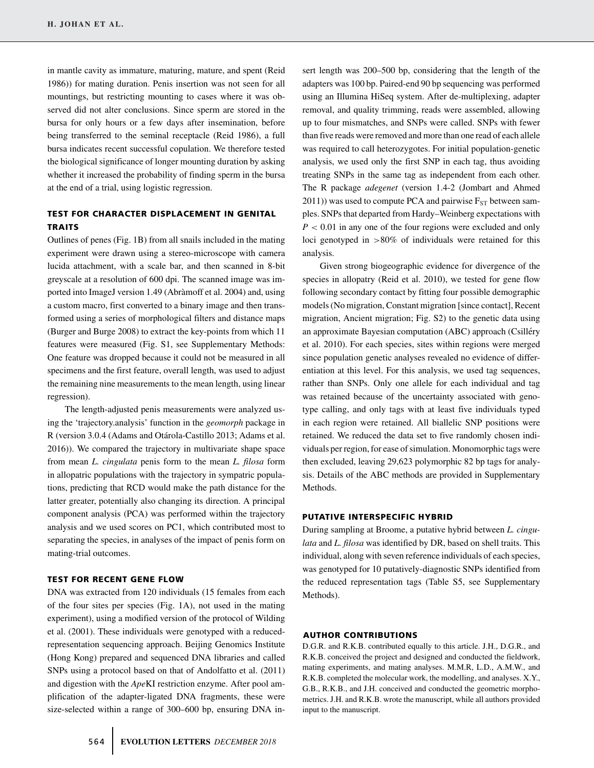in mantle cavity as immature, maturing, mature, and spent (Reid 1986)) for mating duration. Penis insertion was not seen for all mountings, but restricting mounting to cases where it was observed did not alter conclusions. Since sperm are stored in the bursa for only hours or a few days after insemination, before being transferred to the seminal receptacle (Reid 1986), a full bursa indicates recent successful copulation. We therefore tested the biological significance of longer mounting duration by asking whether it increased the probability of finding sperm in the bursa at the end of a trial, using logistic regression.

## **TEST FOR CHARACTER DISPLACEMENT IN GENITAL TRAITS**

Outlines of penes (Fig. 1B) from all snails included in the mating experiment were drawn using a stereo-microscope with camera lucida attachment, with a scale bar, and then scanned in 8-bit greyscale at a resolution of 600 dpi. The scanned image was imported into ImageJ version 1.49 (Abràmoff et al. 2004) and, using a custom macro, first converted to a binary image and then transformed using a series of morphological filters and distance maps (Burger and Burge 2008) to extract the key-points from which 11 features were measured (Fig. S1, see Supplementary Methods: One feature was dropped because it could not be measured in all specimens and the first feature, overall length, was used to adjust the remaining nine measurements to the mean length, using linear regression).

The length-adjusted penis measurements were analyzed using the 'trajectory.analysis' function in the *geomorph* package in R (version 3.0.4 (Adams and Otárola-Castillo 2013; Adams et al. 2016)). We compared the trajectory in multivariate shape space from mean *L. cingulata* penis form to the mean *L. filosa* form in allopatric populations with the trajectory in sympatric populations, predicting that RCD would make the path distance for the latter greater, potentially also changing its direction. A principal component analysis (PCA) was performed within the trajectory analysis and we used scores on PC1, which contributed most to separating the species, in analyses of the impact of penis form on mating-trial outcomes.

#### **TEST FOR RECENT GENE FLOW**

DNA was extracted from 120 individuals (15 females from each of the four sites per species (Fig. 1A), not used in the mating experiment), using a modified version of the protocol of Wilding et al. (2001). These individuals were genotyped with a reducedrepresentation sequencing approach. Beijing Genomics Institute (Hong Kong) prepared and sequenced DNA libraries and called SNPs using a protocol based on that of Andolfatto et al. (2011) and digestion with the *Ape*KI restriction enzyme. After pool amplification of the adapter-ligated DNA fragments, these were size-selected within a range of 300–600 bp, ensuring DNA in-

sert length was 200–500 bp, considering that the length of the adapters was 100 bp. Paired-end 90 bp sequencing was performed using an Illumina HiSeq system. After de-multiplexing, adapter removal, and quality trimming, reads were assembled, allowing up to four mismatches, and SNPs were called. SNPs with fewer than five reads were removed and more than one read of each allele was required to call heterozygotes. For initial population-genetic analysis, we used only the first SNP in each tag, thus avoiding treating SNPs in the same tag as independent from each other. The R package *adegenet* (version 1.4-2 (Jombart and Ahmed  $2011$ )) was used to compute PCA and pairwise  $F_{ST}$  between samples. SNPs that departed from Hardy–Weinberg expectations with *P <* 0.01 in any one of the four regions were excluded and only loci genotyped in *>*80% of individuals were retained for this analysis.

Given strong biogeographic evidence for divergence of the species in allopatry (Reid et al. 2010), we tested for gene flow following secondary contact by fitting four possible demographic models (No migration, Constant migration [since contact], Recent migration, Ancient migration; Fig. S2) to the genetic data using an approximate Bayesian computation (ABC) approach (Csilléry et al. 2010). For each species, sites within regions were merged since population genetic analyses revealed no evidence of differentiation at this level. For this analysis, we used tag sequences, rather than SNPs. Only one allele for each individual and tag was retained because of the uncertainty associated with genotype calling, and only tags with at least five individuals typed in each region were retained. All biallelic SNP positions were retained. We reduced the data set to five randomly chosen individuals per region, for ease of simulation. Monomorphic tags were then excluded, leaving 29,623 polymorphic 82 bp tags for analysis. Details of the ABC methods are provided in Supplementary Methods.

#### **PUTATIVE INTERSPECIFIC HYBRID**

During sampling at Broome, a putative hybrid between *L. cingulata* and *L. filosa* was identified by DR, based on shell traits. This individual, along with seven reference individuals of each species, was genotyped for 10 putatively-diagnostic SNPs identified from the reduced representation tags (Table S5, see Supplementary Methods).

#### **AUTHOR CONTRIBUTIONS**

D.G.R. and R.K.B. contributed equally to this article. J.H., D.G.R., and R.K.B. conceived the project and designed and conducted the fieldwork, mating experiments, and mating analyses. M.M.R, L.D., A.M.W., and R.K.B. completed the molecular work, the modelling, and analyses. X.Y., G.B., R.K.B., and J.H. conceived and conducted the geometric morphometrics. J.H. and R.K.B. wrote the manuscript, while all authors provided input to the manuscript.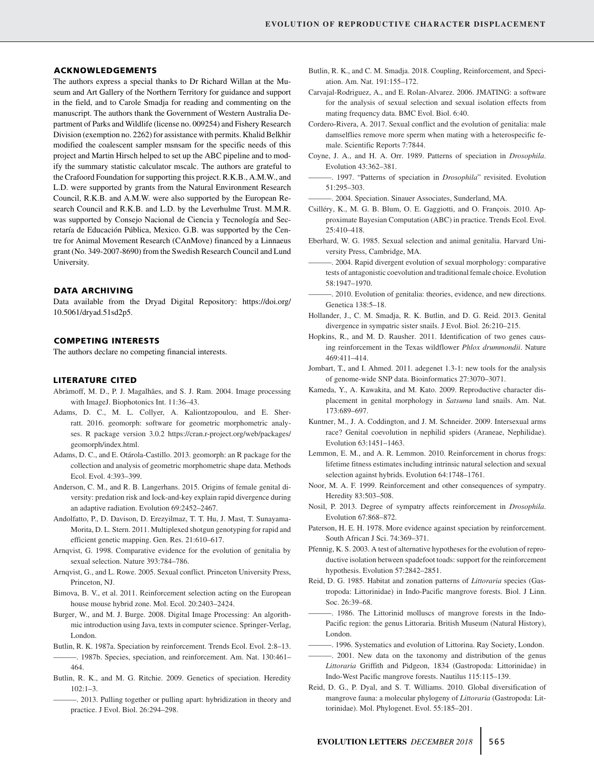#### **ACKNOWLEDGEMENTS**

The authors express a special thanks to Dr Richard Willan at the Museum and Art Gallery of the Northern Territory for guidance and support in the field, and to Carole Smadja for reading and commenting on the manuscript. The authors thank the Government of Western Australia Department of Parks and Wildlife (license no. 009254) and Fishery Research Division (exemption no. 2262) for assistance with permits. Khalid Belkhir modified the coalescent sampler msnsam for the specific needs of this project and Martin Hirsch helped to set up the ABC pipeline and to modify the summary statistic calculator mscalc. The authors are grateful to the Crafoord Foundation for supporting this project. R.K.B., A.M.W., and L.D. were supported by grants from the Natural Environment Research Council, R.K.B. and A.M.W. were also supported by the European Research Council and R.K.B. and L.D. by the Leverhulme Trust. M.M.R. was supported by Consejo Nacional de Ciencia y Tecnología and Secretaría de Educación Pública, Mexico. G.B. was supported by the Centre for Animal Movement Research (CAnMove) financed by a Linnaeus grant (No. 349-2007-8690) from the Swedish Research Council and Lund University.

#### **DATA ARCHIVING**

Data available from the Dryad Digital Repository: [https://doi.org/](https://doi.org/10.5061/dryad.51sd2p5) [10.5061/dryad.51sd2p5.](https://doi.org/10.5061/dryad.51sd2p5)

#### **COMPETING INTERESTS**

The authors declare no competing financial interests.

#### **LITERATURE CITED**

- Abràmoff, M. D., P. J. Magalhães, and S. J. Ram. 2004. Image processing with ImageJ. Biophotonics Int. 11:36–43.
- Adams, D. C., M. L. Collyer, A. Kaliontzopoulou, and E. Sherratt. 2016. geomorph: software for geometric morphometric analyses. R package version 3.0.2 [https://cran.r-project.org/web/packages/](https://cran.r-project.org/web/packages/geomorph/index.html) [geomorph/index.html.](https://cran.r-project.org/web/packages/geomorph/index.html)
- Adams, D. C., and E. Otárola-Castillo. 2013. geomorph: an R package for the collection and analysis of geometric morphometric shape data. Methods Ecol. Evol. 4:393–399.
- Anderson, C. M., and R. B. Langerhans. 2015. Origins of female genital diversity: predation risk and lock-and-key explain rapid divergence during an adaptive radiation. Evolution 69:2452–2467.
- Andolfatto, P., D. Davison, D. Erezyilmaz, T. T. Hu, J. Mast, T. Sunayama-Morita, D. L. Stern. 2011. Multiplexed shotgun genotyping for rapid and efficient genetic mapping. Gen. Res. 21:610–617.
- Arnqvist, G. 1998. Comparative evidence for the evolution of genitalia by sexual selection. Nature 393:784–786.
- Arnqvist, G., and L. Rowe. 2005. Sexual conflict. Princeton University Press, Princeton, NJ.
- Bimova, B. V., et al. 2011. Reinforcement selection acting on the European house mouse hybrid zone. Mol. Ecol. 20:2403–2424.
- Burger, W., and M. J. Burge. 2008. Digital Image Processing: An algorithmic introduction using Java, texts in computer science. Springer-Verlag, London.
- Butlin, R. K. 1987a. Speciation by reinforcement. Trends Ecol. Evol. 2:8–13. ———. 1987b. Species, speciation, and reinforcement. Am. Nat. 130:461– 464.
- Butlin, R. K., and M. G. Ritchie. 2009. Genetics of speciation. Heredity  $102:1-3$ .

———. 2013. Pulling together or pulling apart: hybridization in theory and practice. J Evol. Biol. 26:294–298.

- Butlin, R. K., and C. M. Smadja. 2018. Coupling, Reinforcement, and Speciation. Am. Nat. 191:155–172.
- Carvajal-Rodriguez, A., and E. Rolan-Alvarez. 2006. JMATING: a software for the analysis of sexual selection and sexual isolation effects from mating frequency data. BMC Evol. Biol. 6:40.
- Cordero-Rivera, A. 2017. Sexual conflict and the evolution of genitalia: male damselflies remove more sperm when mating with a heterospecific female. Scientific Reports 7:7844.
- Coyne, J. A., and H. A. Orr. 1989. Patterns of speciation in *Drosophila*. Evolution 43:362–381.
- ———. 1997. "Patterns of speciation in *Drosophila*" revisited. Evolution 51:295–303.
- ———. 2004. Speciation. Sinauer Associates, Sunderland, MA.
- Csilléry, K., M. G. B. Blum, O. E. Gaggiotti, and O. François. 2010. Approximate Bayesian Computation (ABC) in practice. Trends Ecol. Evol. 25:410–418.
- Eberhard, W. G. 1985. Sexual selection and animal genitalia. Harvard University Press, Cambridge, MA.
- ———. 2004. Rapid divergent evolution of sexual morphology: comparative tests of antagonistic coevolution and traditional female choice. Evolution 58:1947–1970.
- ———. 2010. Evolution of genitalia: theories, evidence, and new directions. Genetica 138:5–18.
- Hollander, J., C. M. Smadja, R. K. Butlin, and D. G. Reid. 2013. Genital divergence in sympatric sister snails. J Evol. Biol. 26:210–215.
- Hopkins, R., and M. D. Rausher. 2011. Identification of two genes causing reinforcement in the Texas wildflower *Phlox drummondii*. Nature 469:411–414.
- Jombart, T., and I. Ahmed. 2011. adegenet 1.3-1: new tools for the analysis of genome-wide SNP data. Bioinformatics 27:3070–3071.
- Kameda, Y., A. Kawakita, and M. Kato. 2009. Reproductive character displacement in genital morphology in *Satsuma* land snails. Am. Nat. 173:689–697.
- Kuntner, M., J. A. Coddington, and J. M. Schneider. 2009. Intersexual arms race? Genital coevolution in nephilid spiders (Araneae, Nephilidae). Evolution 63:1451–1463.
- Lemmon, E. M., and A. R. Lemmon. 2010. Reinforcement in chorus frogs: lifetime fitness estimates including intrinsic natural selection and sexual selection against hybrids. Evolution 64:1748–1761.
- Noor, M. A. F. 1999. Reinforcement and other consequences of sympatry. Heredity 83:503–508.
- Nosil, P. 2013. Degree of sympatry affects reinforcement in *Drosophila*. Evolution 67:868–872.
- Paterson, H. E. H. 1978. More evidence against speciation by reinforcement. South African J Sci. 74:369–371.
- Pfennig, K. S. 2003. A test of alternative hypotheses for the evolution of reproductive isolation between spadefoot toads: support for the reinforcement hypothesis. Evolution 57:2842–2851.
- Reid, D. G. 1985. Habitat and zonation patterns of *Littoraria* species (Gastropoda: Littorinidae) in Indo-Pacific mangrove forests. Biol. J Linn. Soc. 26:39–68.
- -. 1986. The Littorinid molluscs of mangrove forests in the Indo-Pacific region: the genus Littoraria. British Museum (Natural History), London.
- -. 1996. Systematics and evolution of Littorina. Ray Society, London.
- ———. 2001. New data on the taxonomy and distribution of the genus *Littoraria* Griffith and Pidgeon, 1834 (Gastropoda: Littorinidae) in Indo-West Pacific mangrove forests. Nautilus 115:115–139.
- Reid, D. G., P. Dyal, and S. T. Williams. 2010. Global diversification of mangrove fauna: a molecular phylogeny of *Littoraria* (Gastropoda: Littorinidae). Mol. Phylogenet. Evol. 55:185–201.